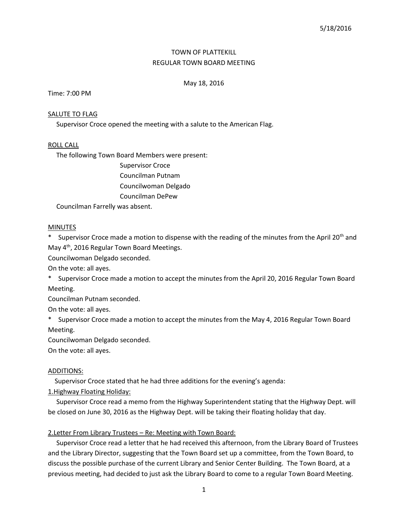# TOWN OF PLATTEKILL REGULAR TOWN BOARD MEETING

# May 18, 2016

Time: 7:00 PM

## SALUTE TO FLAG

Supervisor Croce opened the meeting with a salute to the American Flag.

## ROLL CALL

The following Town Board Members were present:

Supervisor Croce Councilman Putnam Councilwoman Delgado Councilman DePew

Councilman Farrelly was absent.

## **MINUTES**

\* Supervisor Croce made a motion to dispense with the reading of the minutes from the April 20<sup>th</sup> and May 4th, 2016 Regular Town Board Meetings.

Councilwoman Delgado seconded.

On the vote: all ayes.

\* Supervisor Croce made a motion to accept the minutes from the April 20, 2016 Regular Town Board Meeting.

Councilman Putnam seconded.

On the vote: all ayes.

\* Supervisor Croce made a motion to accept the minutes from the May 4, 2016 Regular Town Board Meeting.

Councilwoman Delgado seconded.

On the vote: all ayes.

## ADDITIONS:

Supervisor Croce stated that he had three additions for the evening's agenda:

1.Highway Floating Holiday:

 Supervisor Croce read a memo from the Highway Superintendent stating that the Highway Dept. will be closed on June 30, 2016 as the Highway Dept. will be taking their floating holiday that day.

# 2.Letter From Library Trustees – Re: Meeting with Town Board:

 Supervisor Croce read a letter that he had received this afternoon, from the Library Board of Trustees and the Library Director, suggesting that the Town Board set up a committee, from the Town Board, to discuss the possible purchase of the current Library and Senior Center Building. The Town Board, at a previous meeting, had decided to just ask the Library Board to come to a regular Town Board Meeting.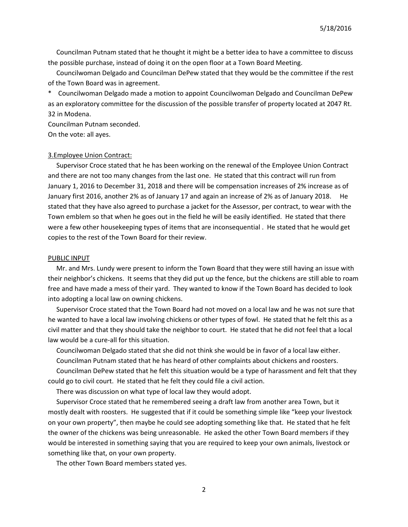Councilman Putnam stated that he thought it might be a better idea to have a committee to discuss the possible purchase, instead of doing it on the open floor at a Town Board Meeting.

 Councilwoman Delgado and Councilman DePew stated that they would be the committee if the rest of the Town Board was in agreement.

\* Councilwoman Delgado made a motion to appoint Councilwoman Delgado and Councilman DePew as an exploratory committee for the discussion of the possible transfer of property located at 2047 Rt. 32 in Modena.

Councilman Putnam seconded. On the vote: all ayes.

#### 3.Employee Union Contract:

 Supervisor Croce stated that he has been working on the renewal of the Employee Union Contract and there are not too many changes from the last one. He stated that this contract will run from January 1, 2016 to December 31, 2018 and there will be compensation increases of 2% increase as of January first 2016, another 2% as of January 17 and again an increase of 2% as of January 2018. stated that they have also agreed to purchase a jacket for the Assessor, per contract, to wear with the Town emblem so that when he goes out in the field he will be easily identified. He stated that there were a few other housekeeping types of items that are inconsequential . He stated that he would get copies to the rest of the Town Board for their review.

#### PUBLIC INPUT

 Mr. and Mrs. Lundy were present to inform the Town Board that they were still having an issue with their neighbor's chickens. It seems that they did put up the fence, but the chickens are still able to roam free and have made a mess of their yard. They wanted to know if the Town Board has decided to look into adopting a local law on owning chickens.

 Supervisor Croce stated that the Town Board had not moved on a local law and he was not sure that he wanted to have a local law involving chickens or other types of fowl. He stated that he felt this as a civil matter and that they should take the neighbor to court. He stated that he did not feel that a local law would be a cure-all for this situation.

 Councilwoman Delgado stated that she did not think she would be in favor of a local law either. Councilman Putnam stated that he has heard of other complaints about chickens and roosters.

 Councilman DePew stated that he felt this situation would be a type of harassment and felt that they could go to civil court. He stated that he felt they could file a civil action.

There was discussion on what type of local law they would adopt.

 Supervisor Croce stated that he remembered seeing a draft law from another area Town, but it mostly dealt with roosters. He suggested that if it could be something simple like "keep your livestock on your own property", then maybe he could see adopting something like that. He stated that he felt the owner of the chickens was being unreasonable. He asked the other Town Board members if they would be interested in something saying that you are required to keep your own animals, livestock or something like that, on your own property.

The other Town Board members stated yes.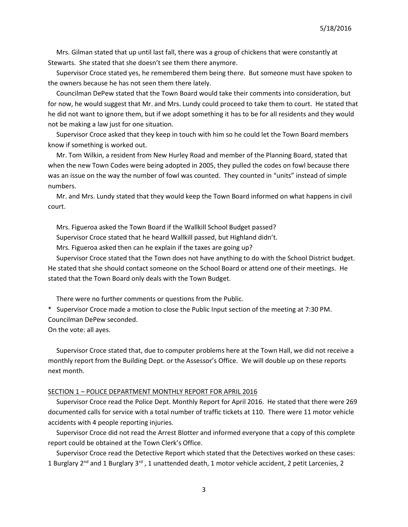Mrs. Gilman stated that up until last fall, there was a group of chickens that were constantly at Stewarts. She stated that she doesn't see them there anymore.

 Supervisor Croce stated yes, he remembered them being there. But someone must have spoken to the owners because he has not seen them there lately.

 Councilman DePew stated that the Town Board would take their comments into consideration, but for now, he would suggest that Mr. and Mrs. Lundy could proceed to take them to court. He stated that he did not want to ignore them, but if we adopt something it has to be for all residents and they would not be making a law just for one situation.

 Supervisor Croce asked that they keep in touch with him so he could let the Town Board members know if something is worked out.

 Mr. Tom Wilkin, a resident from New Hurley Road and member of the Planning Board, stated that when the new Town Codes were being adopted in 2005, they pulled the codes on fowl because there was an issue on the way the number of fowl was counted. They counted in "units" instead of simple numbers.

 Mr. and Mrs. Lundy stated that they would keep the Town Board informed on what happens in civil court.

Mrs. Figueroa asked the Town Board if the Wallkill School Budget passed?

Supervisor Croce stated that he heard Wallkill passed, but Highland didn't.

Mrs. Figueroa asked then can he explain if the taxes are going up?

 Supervisor Croce stated that the Town does not have anything to do with the School District budget. He stated that she should contact someone on the School Board or attend one of their meetings. He stated that the Town Board only deals with the Town Budget.

There were no further comments or questions from the Public.

\* Supervisor Croce made a motion to close the Public Input section of the meeting at 7:30 PM. Councilman DePew seconded.

On the vote: all ayes.

 Supervisor Croce stated that, due to computer problems here at the Town Hall, we did not receive a monthly report from the Building Dept. or the Assessor's Office. We will double up on these reports next month.

### SECTION 1 - POLICE DEPARTMENT MONTHLY REPORT FOR APRIL 2016

 Supervisor Croce read the Police Dept. Monthly Report for April 2016. He stated that there were 269 documented calls for service with a total number of traffic tickets at 110. There were 11 motor vehicle accidents with 4 people reporting injuries.

 Supervisor Croce did not read the Arrest Blotter and informed everyone that a copy of this complete report could be obtained at the Town Clerk's Office.

 Supervisor Croce read the Detective Report which stated that the Detectives worked on these cases: 1 Burglary  $2^{nd}$  and 1 Burglary  $3^{rd}$ , 1 unattended death, 1 motor vehicle accident, 2 petit Larcenies, 2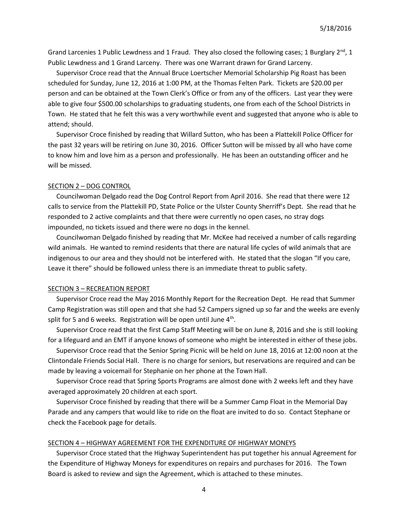Grand Larcenies 1 Public Lewdness and 1 Fraud. They also closed the following cases; 1 Burglary  $2^{nd}$ , 1 Public Lewdness and 1 Grand Larceny. There was one Warrant drawn for Grand Larceny.

 Supervisor Croce read that the Annual Bruce Loertscher Memorial Scholarship Pig Roast has been scheduled for Sunday, June 12, 2016 at 1:00 PM, at the Thomas Felten Park. Tickets are \$20.00 per person and can be obtained at the Town Clerk's Office or from any of the officers. Last year they were able to give four \$500.00 scholarships to graduating students, one from each of the School Districts in Town. He stated that he felt this was a very worthwhile event and suggested that anyone who is able to attend; should.

 Supervisor Croce finished by reading that Willard Sutton, who has been a Plattekill Police Officer for the past 32 years will be retiring on June 30, 2016. Officer Sutton will be missed by all who have come to know him and love him as a person and professionally. He has been an outstanding officer and he will be missed.

### SECTION 2 – DOG CONTROL

 Councilwoman Delgado read the Dog Control Report from April 2016. She read that there were 12 calls to service from the Plattekill PD, State Police or the Ulster County Sherriff's Dept. She read that he responded to 2 active complaints and that there were currently no open cases, no stray dogs impounded, no tickets issued and there were no dogs in the kennel.

 Councilwoman Delgado finished by reading that Mr. McKee had received a number of calls regarding wild animals. He wanted to remind residents that there are natural life cycles of wild animals that are indigenous to our area and they should not be interfered with. He stated that the slogan "If you care, Leave it there" should be followed unless there is an immediate threat to public safety.

## SECTION 3 – RECREATION REPORT

 Supervisor Croce read the May 2016 Monthly Report for the Recreation Dept. He read that Summer Camp Registration was still open and that she had 52 Campers signed up so far and the weeks are evenly split for 5 and 6 weeks. Registration will be open until June  $4<sup>th</sup>$ .

 Supervisor Croce read that the first Camp Staff Meeting will be on June 8, 2016 and she is still looking for a lifeguard and an EMT if anyone knows of someone who might be interested in either of these jobs.

 Supervisor Croce read that the Senior Spring Picnic will be held on June 18, 2016 at 12:00 noon at the Clintondale Friends Social Hall. There is no charge for seniors, but reservations are required and can be made by leaving a voicemail for Stephanie on her phone at the Town Hall.

 Supervisor Croce read that Spring Sports Programs are almost done with 2 weeks left and they have averaged approximately 20 children at each sport.

 Supervisor Croce finished by reading that there will be a Summer Camp Float in the Memorial Day Parade and any campers that would like to ride on the float are invited to do so. Contact Stephane or check the Facebook page for details.

## SECTION 4 – HIGHWAY AGREEMENT FOR THE EXPENDITURE OF HIGHWAY MONEYS

 Supervisor Croce stated that the Highway Superintendent has put together his annual Agreement for the Expenditure of Highway Moneys for expenditures on repairs and purchases for 2016. The Town Board is asked to review and sign the Agreement, which is attached to these minutes.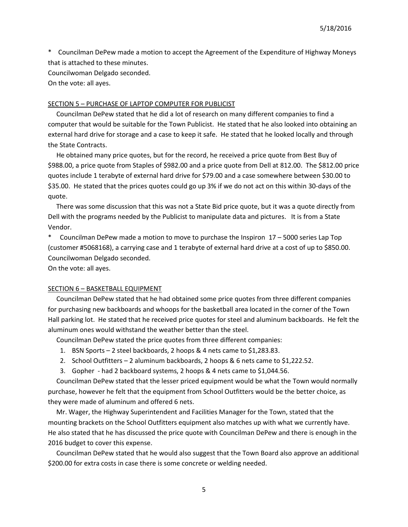\* Councilman DePew made a motion to accept the Agreement of the Expenditure of Highway Moneys that is attached to these minutes.

Councilwoman Delgado seconded.

On the vote: all ayes.

#### SECTION 5 – PURCHASE OF LAPTOP COMPUTER FOR PUBLICIST

 Councilman DePew stated that he did a lot of research on many different companies to find a computer that would be suitable for the Town Publicist. He stated that he also looked into obtaining an external hard drive for storage and a case to keep it safe. He stated that he looked locally and through the State Contracts.

 He obtained many price quotes, but for the record, he received a price quote from Best Buy of \$988.00, a price quote from Staples of \$982.00 and a price quote from Dell at 812.00. The \$812.00 price quotes include 1 terabyte of external hard drive for \$79.00 and a case somewhere between \$30.00 to \$35.00. He stated that the prices quotes could go up 3% if we do not act on this within 30-days of the quote.

 There was some discussion that this was not a State Bid price quote, but it was a quote directly from Dell with the programs needed by the Publicist to manipulate data and pictures. It is from a State Vendor.

\* Councilman DePew made a motion to move to purchase the Inspiron 17 – 5000 series Lap Top (customer #5068168), a carrying case and 1 terabyte of external hard drive at a cost of up to \$850.00. Councilwoman Delgado seconded.

On the vote: all ayes.

## SECTION 6 – BASKETBALL EQUIPMENT

 Councilman DePew stated that he had obtained some price quotes from three different companies for purchasing new backboards and whoops for the basketball area located in the corner of the Town Hall parking lot. He stated that he received price quotes for steel and aluminum backboards. He felt the aluminum ones would withstand the weather better than the steel.

Councilman DePew stated the price quotes from three different companies:

- 1. BSN Sports 2 steel backboards, 2 hoops & 4 nets came to \$1,283.83.
- 2. School Outfitters 2 aluminum backboards, 2 hoops & 6 nets came to \$1,222.52.
- 3. Gopher had 2 backboard systems, 2 hoops & 4 nets came to \$1,044.56.

 Councilman DePew stated that the lesser priced equipment would be what the Town would normally purchase, however he felt that the equipment from School Outfitters would be the better choice, as they were made of aluminum and offered 6 nets.

 Mr. Wager, the Highway Superintendent and Facilities Manager for the Town, stated that the mounting brackets on the School Outfitters equipment also matches up with what we currently have. He also stated that he has discussed the price quote with Councilman DePew and there is enough in the 2016 budget to cover this expense.

 Councilman DePew stated that he would also suggest that the Town Board also approve an additional \$200.00 for extra costs in case there is some concrete or welding needed.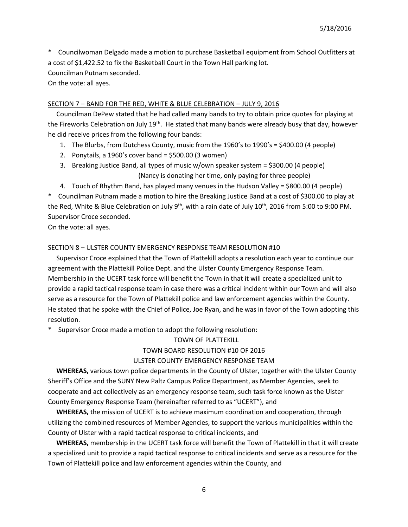\* Councilwoman Delgado made a motion to purchase Basketball equipment from School Outfitters at a cost of \$1,422.52 to fix the Basketball Court in the Town Hall parking lot.

Councilman Putnam seconded.

On the vote: all ayes.

## SECTION 7 – BAND FOR THE RED, WHITE & BLUE CELEBRATION – JULY 9, 2016

 Councilman DePew stated that he had called many bands to try to obtain price quotes for playing at the Fireworks Celebration on July 19<sup>th</sup>. He stated that many bands were already busy that day, however he did receive prices from the following four bands:

- 1. The Blurbs, from Dutchess County, music from the 1960's to 1990's = \$400.00 (4 people)
- 2. Ponytails, a 1960's cover band = \$500.00 (3 women)
- 3. Breaking Justice Band, all types of music w/own speaker system = \$300.00 (4 people) (Nancy is donating her time, only paying for three people)

4. Touch of Rhythm Band, has played many venues in the Hudson Valley = \$800.00 (4 people) \* Councilman Putnam made a motion to hire the Breaking Justice Band at a cost of \$300.00 to play at the Red, White & Blue Celebration on July 9<sup>th</sup>, with a rain date of July 10<sup>th</sup>, 2016 from 5:00 to 9:00 PM. Supervisor Croce seconded.

On the vote: all ayes.

## SECTION 8 – ULSTER COUNTY EMERGENCY RESPONSE TEAM RESOLUTION #10

 Supervisor Croce explained that the Town of Plattekill adopts a resolution each year to continue our agreement with the Plattekill Police Dept. and the Ulster County Emergency Response Team. Membership in the UCERT task force will benefit the Town in that it will create a specialized unit to provide a rapid tactical response team in case there was a critical incident within our Town and will also serve as a resource for the Town of Plattekill police and law enforcement agencies within the County. He stated that he spoke with the Chief of Police, Joe Ryan, and he was in favor of the Town adopting this resolution.

Supervisor Croce made a motion to adopt the following resolution:

# TOWN OF PLATTEKILL TOWN BOARD RESOLUTION #10 OF 2016

# ULSTER COUNTY EMERGENCY RESPONSE TEAM

 **WHEREAS,** various town police departments in the County of Ulster, together with the Ulster County Sheriff's Office and the SUNY New Paltz Campus Police Department, as Member Agencies, seek to cooperate and act collectively as an emergency response team, such task force known as the Ulster County Emergency Response Team (hereinafter referred to as "UCERT"), and

 **WHEREAS,** the mission of UCERT is to achieve maximum coordination and cooperation, through utilizing the combined resources of Member Agencies, to support the various municipalities within the County of Ulster with a rapid tactical response to critical incidents, and

 **WHEREAS,** membership in the UCERT task force will benefit the Town of Plattekill in that it will create a specialized unit to provide a rapid tactical response to critical incidents and serve as a resource for the Town of Plattekill police and law enforcement agencies within the County, and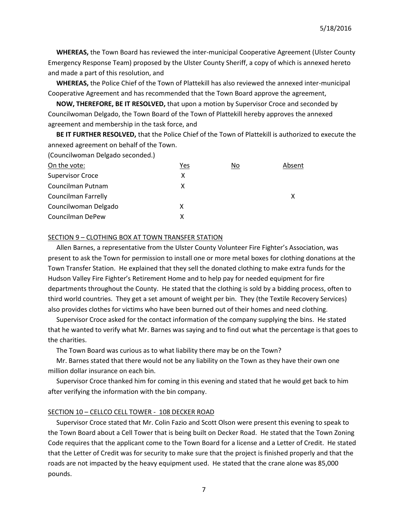**WHEREAS,** the Town Board has reviewed the inter-municipal Cooperative Agreement (Ulster County Emergency Response Team) proposed by the Ulster County Sheriff, a copy of which is annexed hereto and made a part of this resolution, and

 **WHEREAS,** the Police Chief of the Town of Plattekill has also reviewed the annexed inter-municipal Cooperative Agreement and has recommended that the Town Board approve the agreement,

 **NOW, THEREFORE, BE IT RESOLVED,** that upon a motion by Supervisor Croce and seconded by Councilwoman Delgado, the Town Board of the Town of Plattekill hereby approves the annexed agreement and membership in the task force, and

 **BE IT FURTHER RESOLVED,** that the Police Chief of the Town of Plattekill is authorized to execute the annexed agreement on behalf of the Town.

(Councilwoman Delgado seconded.)

| On the vote:               | Yes | No | Absent |
|----------------------------|-----|----|--------|
| <b>Supervisor Croce</b>    | x   |    |        |
| Councilman Putnam          | х   |    |        |
| <b>Councilman Farrelly</b> |     |    |        |
| Councilwoman Delgado       | x   |    |        |
| Councilman DePew           | x   |    |        |
|                            |     |    |        |

## SECTION 9 – CLOTHING BOX AT TOWN TRANSFER STATION

 Allen Barnes, a representative from the Ulster County Volunteer Fire Fighter's Association, was present to ask the Town for permission to install one or more metal boxes for clothing donations at the Town Transfer Station. He explained that they sell the donated clothing to make extra funds for the Hudson Valley Fire Fighter's Retirement Home and to help pay for needed equipment for fire departments throughout the County. He stated that the clothing is sold by a bidding process, often to third world countries. They get a set amount of weight per bin. They (the Textile Recovery Services) also provides clothes for victims who have been burned out of their homes and need clothing.

 Supervisor Croce asked for the contact information of the company supplying the bins. He stated that he wanted to verify what Mr. Barnes was saying and to find out what the percentage is that goes to the charities.

The Town Board was curious as to what liability there may be on the Town?

 Mr. Barnes stated that there would not be any liability on the Town as they have their own one million dollar insurance on each bin.

 Supervisor Croce thanked him for coming in this evening and stated that he would get back to him after verifying the information with the bin company.

#### SECTION 10 – CELLCO CELL TOWER - 108 DECKER ROAD

 Supervisor Croce stated that Mr. Colin Fazio and Scott Olson were present this evening to speak to the Town Board about a Cell Tower that is being built on Decker Road. He stated that the Town Zoning Code requires that the applicant come to the Town Board for a license and a Letter of Credit. He stated that the Letter of Credit was for security to make sure that the project is finished properly and that the roads are not impacted by the heavy equipment used. He stated that the crane alone was 85,000 pounds.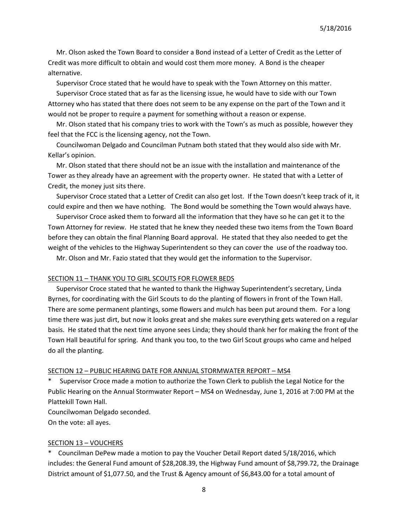Mr. Olson asked the Town Board to consider a Bond instead of a Letter of Credit as the Letter of Credit was more difficult to obtain and would cost them more money. A Bond is the cheaper alternative.

Supervisor Croce stated that he would have to speak with the Town Attorney on this matter.

 Supervisor Croce stated that as far as the licensing issue, he would have to side with our Town Attorney who has stated that there does not seem to be any expense on the part of the Town and it would not be proper to require a payment for something without a reason or expense.

 Mr. Olson stated that his company tries to work with the Town's as much as possible, however they feel that the FCC is the licensing agency, not the Town.

 Councilwoman Delgado and Councilman Putnam both stated that they would also side with Mr. Kellar's opinion.

 Mr. Olson stated that there should not be an issue with the installation and maintenance of the Tower as they already have an agreement with the property owner. He stated that with a Letter of Credit, the money just sits there.

 Supervisor Croce stated that a Letter of Credit can also get lost. If the Town doesn't keep track of it, it could expire and then we have nothing. The Bond would be something the Town would always have.

 Supervisor Croce asked them to forward all the information that they have so he can get it to the Town Attorney for review. He stated that he knew they needed these two items from the Town Board before they can obtain the final Planning Board approval. He stated that they also needed to get the weight of the vehicles to the Highway Superintendent so they can cover the use of the roadway too.

Mr. Olson and Mr. Fazio stated that they would get the information to the Supervisor.

#### SECTION 11 – THANK YOU TO GIRL SCOUTS FOR FLOWER BEDS

 Supervisor Croce stated that he wanted to thank the Highway Superintendent's secretary, Linda Byrnes, for coordinating with the Girl Scouts to do the planting of flowers in front of the Town Hall. There are some permanent plantings, some flowers and mulch has been put around them. For a long time there was just dirt, but now it looks great and she makes sure everything gets watered on a regular basis. He stated that the next time anyone sees Linda; they should thank her for making the front of the Town Hall beautiful for spring. And thank you too, to the two Girl Scout groups who came and helped do all the planting.

#### SECTION 12 – PUBLIC HEARING DATE FOR ANNUAL STORMWATER REPORT – MS4

Supervisor Croce made a motion to authorize the Town Clerk to publish the Legal Notice for the Public Hearing on the Annual Stormwater Report – MS4 on Wednesday, June 1, 2016 at 7:00 PM at the Plattekill Town Hall.

Councilwoman Delgado seconded.

On the vote: all ayes.

#### SECTION 13 – VOUCHERS

\* Councilman DePew made a motion to pay the Voucher Detail Report dated 5/18/2016, which includes: the General Fund amount of \$28,208.39, the Highway Fund amount of \$8,799.72, the Drainage District amount of \$1,077.50, and the Trust & Agency amount of \$6,843.00 for a total amount of